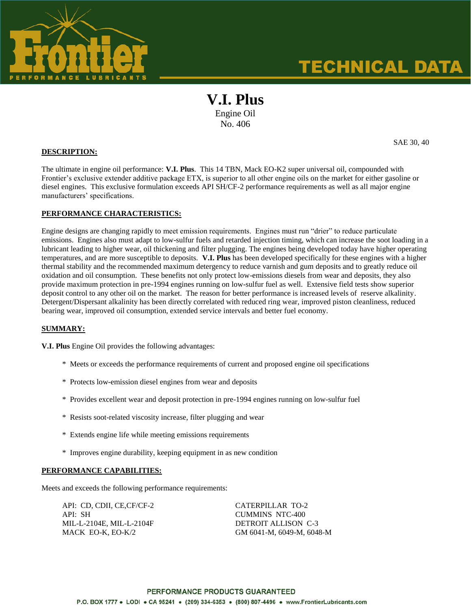

# **TECHNICAL DATA**

## **V.I. Plus** Engine Oil

No. 406

#### **DESCRIPTION:**

The ultimate in engine oil performance: **V.I. Plus**. This 14 TBN, Mack EO-K2 super universal oil, compounded with Frontier's exclusive extender additive package ETX, is superior to all other engine oils on the market for either gasoline or diesel engines. This exclusive formulation exceeds API SH/CF-2 performance requirements as well as all major engine manufacturers' specifications.

#### **PERFORMANCE CHARACTERISTICS:**

Engine designs are changing rapidly to meet emission requirements. Engines must run "drier" to reduce particulate emissions. Engines also must adapt to low-sulfur fuels and retarded injection timing, which can increase the soot loading in a lubricant leading to higher wear, oil thickening and filter plugging. The engines being developed today have higher operating temperatures, and are more susceptible to deposits. **V.I. Plus** has been developed specifically for these engines with a higher thermal stability and the recommended maximum detergency to reduce varnish and gum deposits and to greatly reduce oil oxidation and oil consumption. These benefits not only protect low-emissions diesels from wear and deposits, they also provide maximum protection in pre-1994 engines running on low-sulfur fuel as well. Extensive field tests show superior deposit control to any other oil on the market. The reason for better performance is increased levels of reserve alkalinity. Detergent/Dispersant alkalinity has been directly correlated with reduced ring wear, improved piston cleanliness, reduced bearing wear, improved oil consumption, extended service intervals and better fuel economy.

#### **SUMMARY:**

**V.I. Plus** Engine Oil provides the following advantages:

- \* Meets or exceeds the performance requirements of current and proposed engine oil specifications
- \* Protects low-emission diesel engines from wear and deposits
- \* Provides excellent wear and deposit protection in pre-1994 engines running on low-sulfur fuel
- \* Resists soot-related viscosity increase, filter plugging and wear
- \* Extends engine life while meeting emissions requirements
- \* Improves engine durability, keeping equipment in as new condition

#### **PERFORMANCE CAPABILITIES:**

Meets and exceeds the following performance requirements:

API: CD, CDII, CE, CF/CF-2 CATERPILLAR TO-2 API: SH CUMMINS NTC-400 MIL-L-2104E, MIL-L-2104F DETROIT ALLISON C-3

MACK EO-K, EO-K/2 GM 6041-M, 6049-M, 6048-M

SAE 30, 40